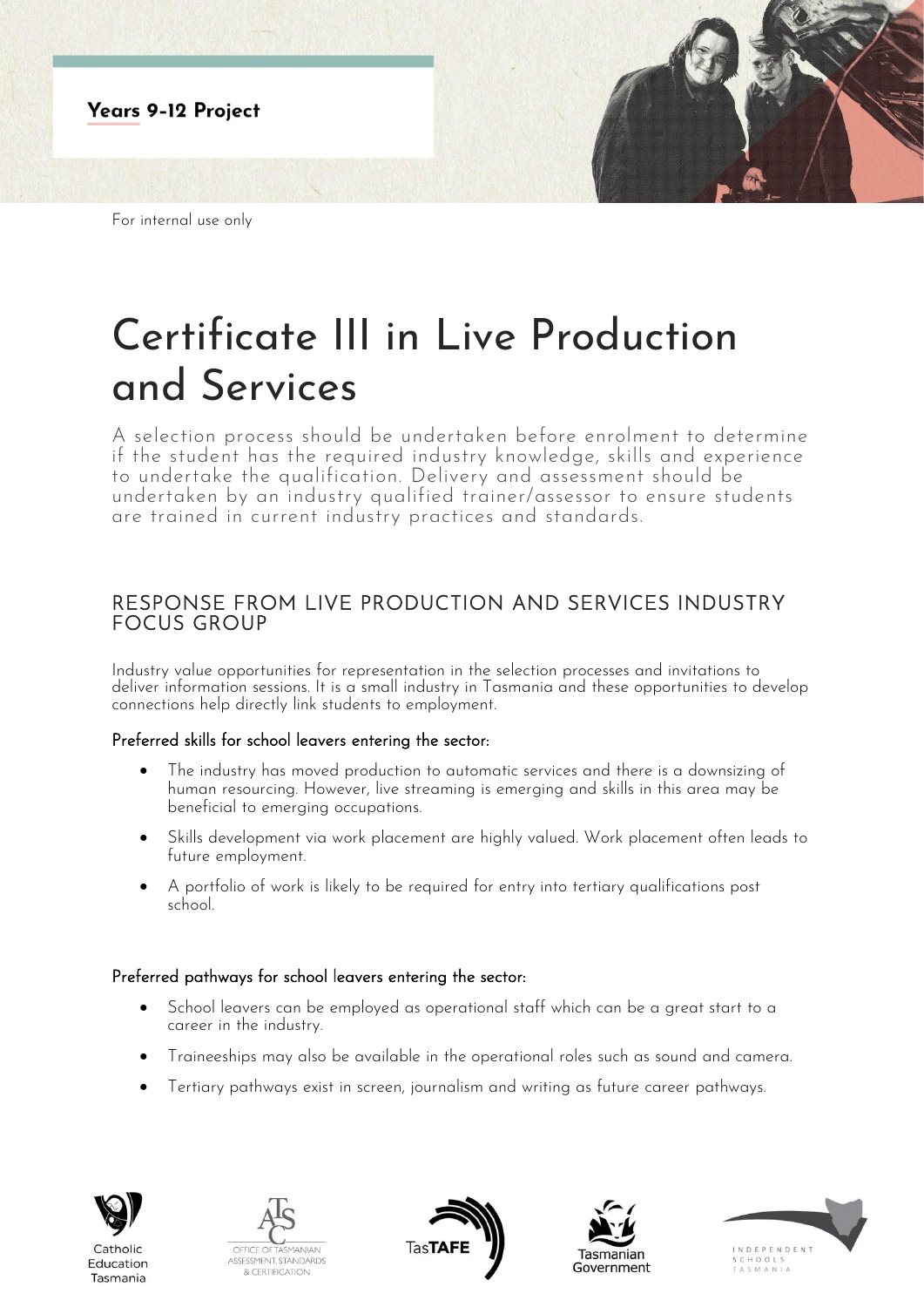

For internal use only

# Certificate III in Live Production and Services

A selection process should be undertaken before enrolment to determine if the student has the required industry knowledge, skills and experience to undertake the qualification. Delivery and assessment should be undertaken by an industry qualified trainer/assessor to ensure students are trained in current industry practices and standards.

## RESPONSE FROM LIVE PRODUCTION AND SERVICES INDUSTRY FOCUS GROUP

Industry value opportunities for representation in the selection processes and invitations to deliver information sessions. It is a small industry in Tasmania and these opportunities to develop connections help directly link students to employment.

### Preferred skills for school leavers entering the sector:

- The industry has moved production to automatic services and there is a downsizing of human resourcing. However, live streaming is emerging and skills in this area may be beneficial to emerging occupations.
- Skills development via work placement are highly valued. Work placement often leads to future employment.
- A portfolio of work is likely to be required for entry into tertiary qualifications post school.

### Preferred pathways for school leavers entering the sector:

- School leavers can be employed as operational staff which can be a great start to a career in the industry.
- Traineeships may also be available in the operational roles such as sound and camera.
- Tertiary pathways exist in screen, journalism and writing as future career pathways.



Catholic

Education

Tasmania